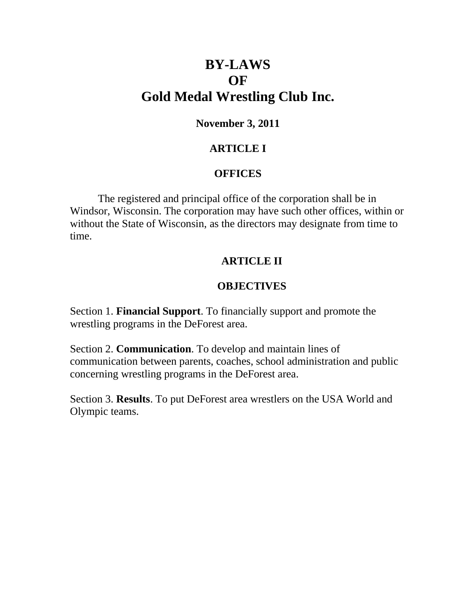# **BY-LAWS OF Gold Medal Wrestling Club Inc.**

# **November 3, 2011**

# **ARTICLE I**

# **OFFICES**

The registered and principal office of the corporation shall be in Windsor, Wisconsin. The corporation may have such other offices, within or without the State of Wisconsin, as the directors may designate from time to time.

# **ARTICLE II**

# **OBJECTIVES**

Section 1. **Financial Support**. To financially support and promote the wrestling programs in the DeForest area.

Section 2. **Communication**. To develop and maintain lines of communication between parents, coaches, school administration and public concerning wrestling programs in the DeForest area.

Section 3. **Results**. To put DeForest area wrestlers on the USA World and Olympic teams.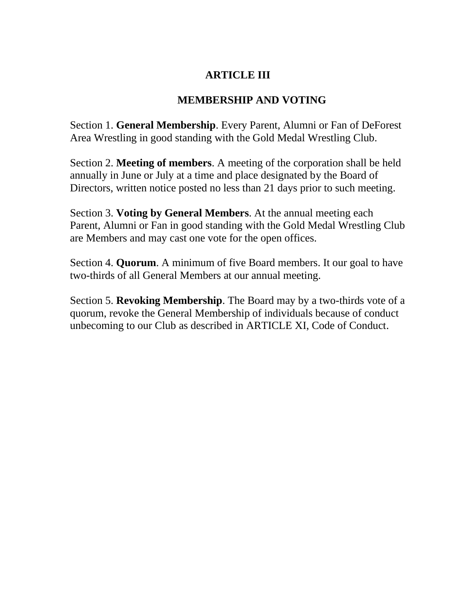# **ARTICLE III**

# **MEMBERSHIP AND VOTING**

Section 1. **General Membership**. Every Parent, Alumni or Fan of DeForest Area Wrestling in good standing with the Gold Medal Wrestling Club.

Section 2. **Meeting of members**. A meeting of the corporation shall be held annually in June or July at a time and place designated by the Board of Directors, written notice posted no less than 21 days prior to such meeting.

Section 3. **Voting by General Members**. At the annual meeting each Parent, Alumni or Fan in good standing with the Gold Medal Wrestling Club are Members and may cast one vote for the open offices.

Section 4. **Quorum**. A minimum of five Board members. It our goal to have two-thirds of all General Members at our annual meeting.

Section 5. **Revoking Membership**. The Board may by a two-thirds vote of a quorum, revoke the General Membership of individuals because of conduct unbecoming to our Club as described in ARTICLE XI, Code of Conduct.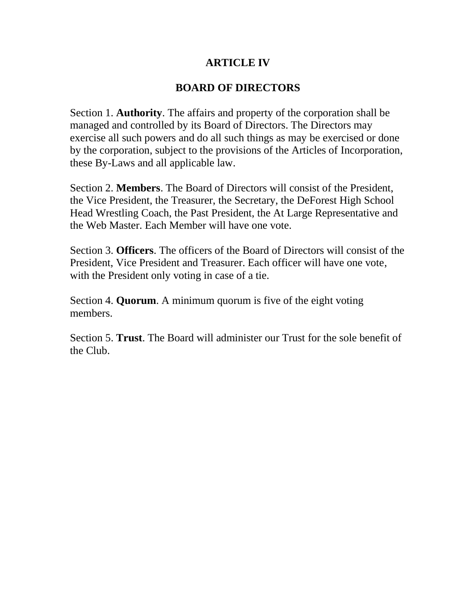### **ARTICLE IV**

### **BOARD OF DIRECTORS**

Section 1. **Authority**. The affairs and property of the corporation shall be managed and controlled by its Board of Directors. The Directors may exercise all such powers and do all such things as may be exercised or done by the corporation, subject to the provisions of the Articles of Incorporation, these By-Laws and all applicable law.

Section 2. **Members**. The Board of Directors will consist of the President, the Vice President, the Treasurer, the Secretary, the DeForest High School Head Wrestling Coach, the Past President, the At Large Representative and the Web Master. Each Member will have one vote.

Section 3. **Officers**. The officers of the Board of Directors will consist of the President, Vice President and Treasurer. Each officer will have one vote, with the President only voting in case of a tie.

Section 4. **Quorum**. A minimum quorum is five of the eight voting members.

Section 5. **Trust**. The Board will administer our Trust for the sole benefit of the Club.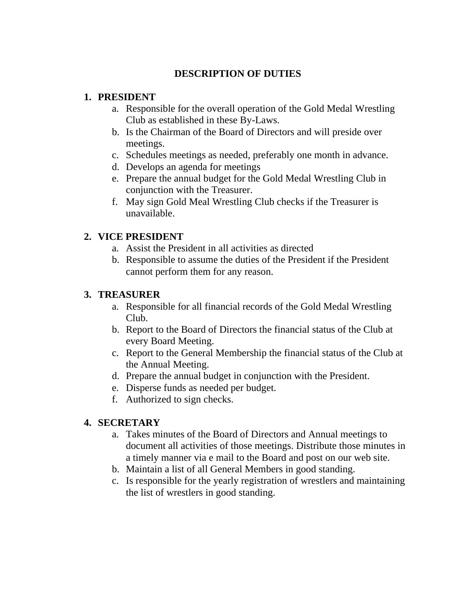### **DESCRIPTION OF DUTIES**

#### **1. PRESIDENT**

- a. Responsible for the overall operation of the Gold Medal Wrestling Club as established in these By-Laws.
- b. Is the Chairman of the Board of Directors and will preside over meetings.
- c. Schedules meetings as needed, preferably one month in advance.
- d. Develops an agenda for meetings
- e. Prepare the annual budget for the Gold Medal Wrestling Club in conjunction with the Treasurer.
- f. May sign Gold Meal Wrestling Club checks if the Treasurer is unavailable.

#### **2. VICE PRESIDENT**

- a. Assist the President in all activities as directed
- b. Responsible to assume the duties of the President if the President cannot perform them for any reason.

#### **3. TREASURER**

- a. Responsible for all financial records of the Gold Medal Wrestling Club.
- b. Report to the Board of Directors the financial status of the Club at every Board Meeting.
- c. Report to the General Membership the financial status of the Club at the Annual Meeting.
- d. Prepare the annual budget in conjunction with the President.
- e. Disperse funds as needed per budget.
- f. Authorized to sign checks.

#### **4. SECRETARY**

- a. Takes minutes of the Board of Directors and Annual meetings to document all activities of those meetings. Distribute those minutes in a timely manner via e mail to the Board and post on our web site.
- b. Maintain a list of all General Members in good standing.
- c. Is responsible for the yearly registration of wrestlers and maintaining the list of wrestlers in good standing.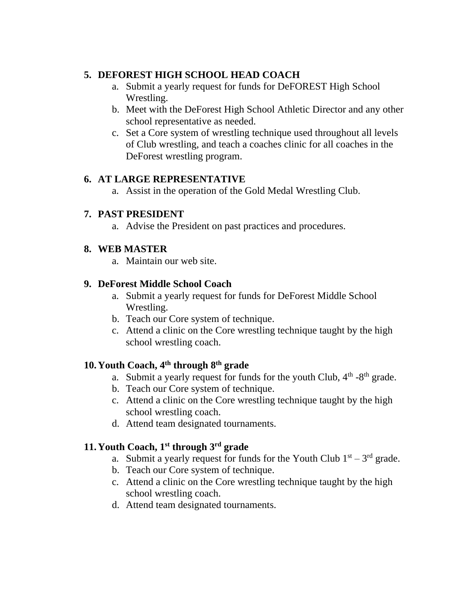### **5. DEFOREST HIGH SCHOOL HEAD COACH**

- a. Submit a yearly request for funds for DeFOREST High School Wrestling.
- b. Meet with the DeForest High School Athletic Director and any other school representative as needed.
- c. Set a Core system of wrestling technique used throughout all levels of Club wrestling, and teach a coaches clinic for all coaches in the DeForest wrestling program.

### **6. AT LARGE REPRESENTATIVE**

a. Assist in the operation of the Gold Medal Wrestling Club.

#### **7. PAST PRESIDENT**

a. Advise the President on past practices and procedures.

#### **8. WEB MASTER**

a. Maintain our web site.

#### **9. DeForest Middle School Coach**

- a. Submit a yearly request for funds for DeForest Middle School Wrestling.
- b. Teach our Core system of technique.
- c. Attend a clinic on the Core wrestling technique taught by the high school wrestling coach.

### **10.Youth Coach, 4th through 8th grade**

- a. Submit a yearly request for funds for the youth Club,  $4<sup>th</sup>$  -8<sup>th</sup> grade.
- b. Teach our Core system of technique.
- c. Attend a clinic on the Core wrestling technique taught by the high school wrestling coach.
- d. Attend team designated tournaments.

### **11.Youth Coach, 1st through 3rd grade**

- a. Submit a yearly request for funds for the Youth Club  $1<sup>st</sup> 3<sup>rd</sup>$  grade.
- b. Teach our Core system of technique.
- c. Attend a clinic on the Core wrestling technique taught by the high school wrestling coach.
- d. Attend team designated tournaments.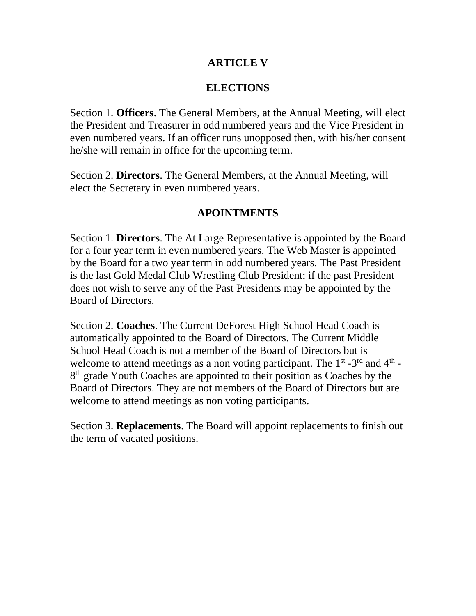### **ARTICLE V**

# **ELECTIONS**

Section 1. **Officers**. The General Members, at the Annual Meeting, will elect the President and Treasurer in odd numbered years and the Vice President in even numbered years. If an officer runs unopposed then, with his/her consent he/she will remain in office for the upcoming term.

Section 2. **Directors**. The General Members, at the Annual Meeting, will elect the Secretary in even numbered years.

### **APOINTMENTS**

Section 1. **Directors**. The At Large Representative is appointed by the Board for a four year term in even numbered years. The Web Master is appointed by the Board for a two year term in odd numbered years. The Past President is the last Gold Medal Club Wrestling Club President; if the past President does not wish to serve any of the Past Presidents may be appointed by the Board of Directors.

Section 2. **Coaches**. The Current DeForest High School Head Coach is automatically appointed to the Board of Directors. The Current Middle School Head Coach is not a member of the Board of Directors but is welcome to attend meetings as a non voting participant. The  $1<sup>st</sup>$  -3<sup>rd</sup> and  $4<sup>th</sup>$  -8<sup>th</sup> grade Youth Coaches are appointed to their position as Coaches by the Board of Directors. They are not members of the Board of Directors but are welcome to attend meetings as non voting participants.

Section 3. **Replacements**. The Board will appoint replacements to finish out the term of vacated positions.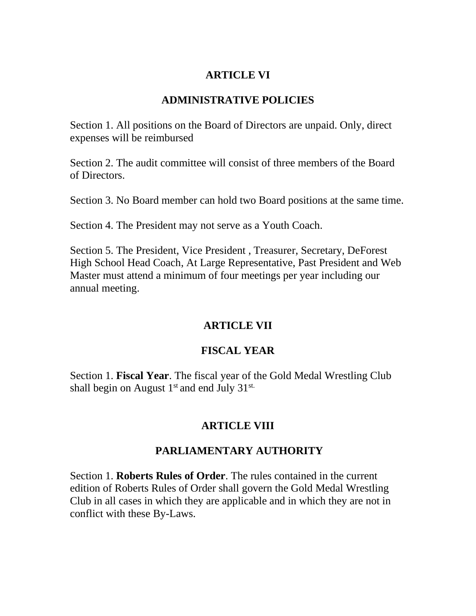### **ARTICLE VI**

# **ADMINISTRATIVE POLICIES**

Section 1. All positions on the Board of Directors are unpaid. Only, direct expenses will be reimbursed

Section 2. The audit committee will consist of three members of the Board of Directors.

Section 3. No Board member can hold two Board positions at the same time.

Section 4. The President may not serve as a Youth Coach.

Section 5. The President, Vice President , Treasurer, Secretary, DeForest High School Head Coach, At Large Representative, Past President and Web Master must attend a minimum of four meetings per year including our annual meeting.

# **ARTICLE VII**

# **FISCAL YEAR**

Section 1. **Fiscal Year**. The fiscal year of the Gold Medal Wrestling Club shall begin on August  $1<sup>st</sup>$  and end July  $31<sup>st</sup>$ .

# **ARTICLE VIII**

# **PARLIAMENTARY AUTHORITY**

Section 1. **Roberts Rules of Order**. The rules contained in the current edition of Roberts Rules of Order shall govern the Gold Medal Wrestling Club in all cases in which they are applicable and in which they are not in conflict with these By-Laws.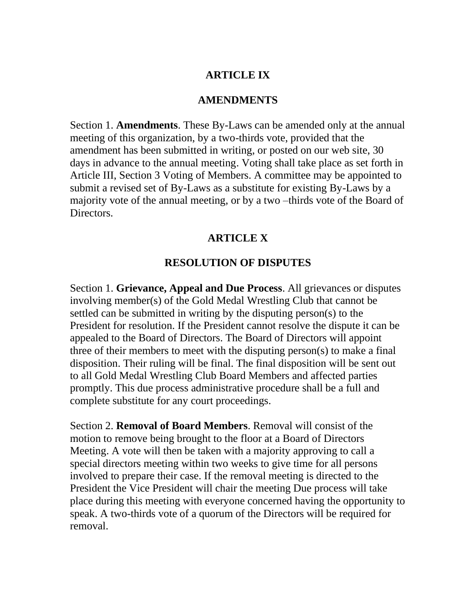### **ARTICLE IX**

#### **AMENDMENTS**

Section 1. **Amendments**. These By-Laws can be amended only at the annual meeting of this organization, by a two-thirds vote, provided that the amendment has been submitted in writing, or posted on our web site, 30 days in advance to the annual meeting. Voting shall take place as set forth in Article III, Section 3 Voting of Members. A committee may be appointed to submit a revised set of By-Laws as a substitute for existing By-Laws by a majority vote of the annual meeting, or by a two –thirds vote of the Board of Directors.

#### **ARTICLE X**

#### **RESOLUTION OF DISPUTES**

Section 1. **Grievance, Appeal and Due Process**. All grievances or disputes involving member(s) of the Gold Medal Wrestling Club that cannot be settled can be submitted in writing by the disputing person(s) to the President for resolution. If the President cannot resolve the dispute it can be appealed to the Board of Directors. The Board of Directors will appoint three of their members to meet with the disputing person(s) to make a final disposition. Their ruling will be final. The final disposition will be sent out to all Gold Medal Wrestling Club Board Members and affected parties promptly. This due process administrative procedure shall be a full and complete substitute for any court proceedings.

Section 2. **Removal of Board Members**. Removal will consist of the motion to remove being brought to the floor at a Board of Directors Meeting. A vote will then be taken with a majority approving to call a special directors meeting within two weeks to give time for all persons involved to prepare their case. If the removal meeting is directed to the President the Vice President will chair the meeting Due process will take place during this meeting with everyone concerned having the opportunity to speak. A two-thirds vote of a quorum of the Directors will be required for removal.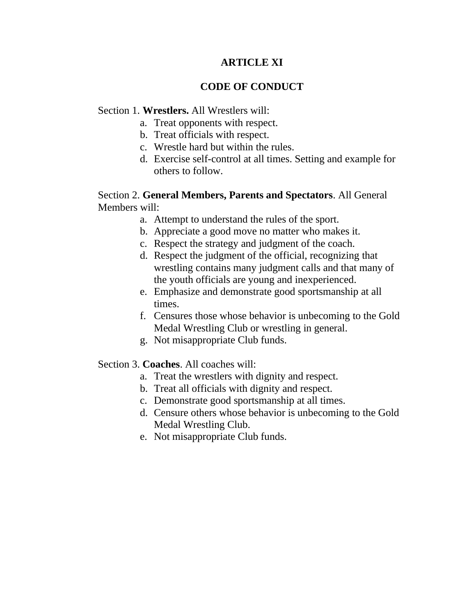### **ARTICLE XI**

### **CODE OF CONDUCT**

#### Section 1. **Wrestlers.** All Wrestlers will:

- a. Treat opponents with respect.
- b. Treat officials with respect.
- c. Wrestle hard but within the rules.
- d. Exercise self-control at all times. Setting and example for others to follow.

#### Section 2. **General Members, Parents and Spectators**. All General Members will:

- a. Attempt to understand the rules of the sport.
- b. Appreciate a good move no matter who makes it.
- c. Respect the strategy and judgment of the coach.
- d. Respect the judgment of the official, recognizing that wrestling contains many judgment calls and that many of the youth officials are young and inexperienced.
- e. Emphasize and demonstrate good sportsmanship at all times.
- f. Censures those whose behavior is unbecoming to the Gold Medal Wrestling Club or wrestling in general.
- g. Not misappropriate Club funds.

#### Section 3. **Coaches**. All coaches will:

- a. Treat the wrestlers with dignity and respect.
- b. Treat all officials with dignity and respect.
- c. Demonstrate good sportsmanship at all times.
- d. Censure others whose behavior is unbecoming to the Gold Medal Wrestling Club.
- e. Not misappropriate Club funds.